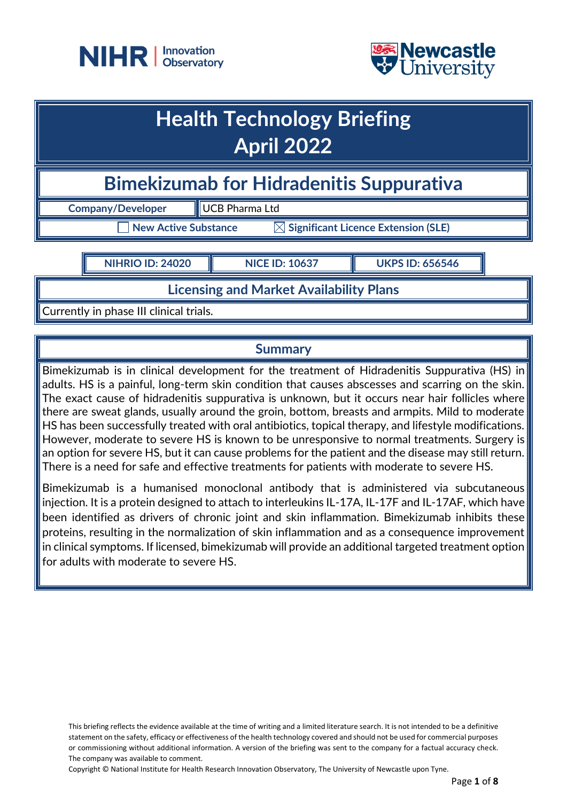



## **Health Technology Briefing April 2022**

**Bimekizumab for Hidradenitis Suppurativa** 

**Company/Developer UCB Pharma Ltd** 

 $\mathsf T$  New Active Substance  $\mathbb K$  Significant Licence Extension (SLE)

**NIHRIO ID: 24020 NICE ID: 10637 UKPS ID: 656546**

**Licensing and Market Availability Plans**

Currently in phase III clinical trials.

## **Summary**

Bimekizumab is in clinical development for the treatment of Hidradenitis Suppurativa (HS) in adults. HS is a painful, long-term skin condition that causes abscesses and scarring on the skin. The exact cause of hidradenitis suppurativa is unknown, but it occurs near hair follicles where there are sweat glands, usually around the groin, bottom, breasts and armpits. Mild to moderate HS has been successfully treated with oral antibiotics, topical therapy, and lifestyle modifications. However, moderate to severe HS is known to be unresponsive to normal treatments. Surgery is an option for severe HS, but it can cause problems for the patient and the disease may still return. There is a need for safe and effective treatments for patients with moderate to severe HS.

Bimekizumab is a humanised monoclonal antibody that is administered via subcutaneous injection. It is a protein designed to attach to interleukins IL-17A, IL-17F and IL-17AF, which have been identified as drivers of chronic joint and skin inflammation. Bimekizumab inhibits these proteins, resulting in the normalization of skin inflammation and as a consequence improvement in clinical symptoms. If licensed, bimekizumab will provide an additional targeted treatment option for adults with moderate to severe HS.

Copyright © National Institute for Health Research Innovation Observatory, The University of Newcastle upon Tyne.

This briefing reflects the evidence available at the time of writing and a limited literature search. It is not intended to be a definitive statement on the safety, efficacy or effectiveness of the health technology covered and should not be used for commercial purposes or commissioning without additional information. A version of the briefing was sent to the company for a factual accuracy check. The company was available to comment.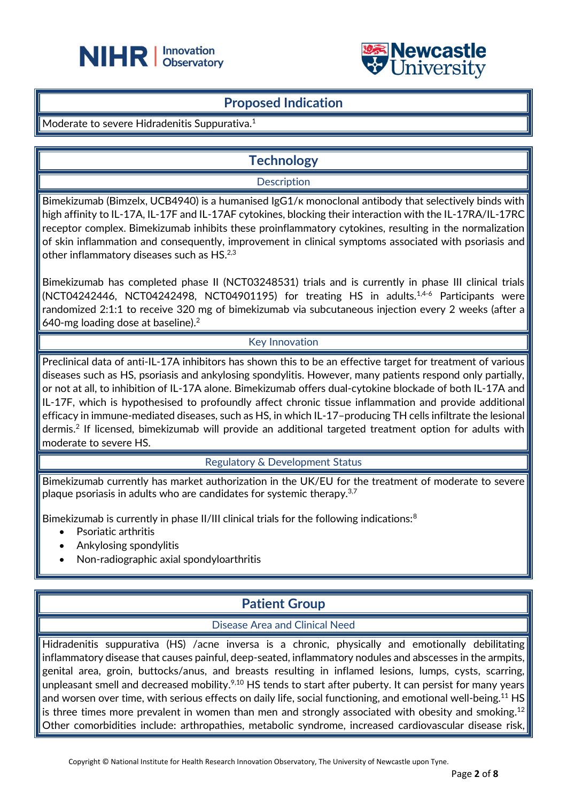



### **Proposed Indication**

Moderate to severe Hidradenitis Suppurativa.<sup>1</sup>

## **Technology**

#### **Description**

Bimekizumab (Bimzelx, UCB4940) is a humanised IgG1/κ monoclonal antibody that selectively binds with high affinity to IL-17A, IL-17F and IL-17AF cytokines, blocking their interaction with the IL-17RA/IL-17RC receptor complex. Bimekizumab inhibits these proinflammatory cytokines, resulting in the normalization of skin inflammation and consequently, improvement in clinical symptoms associated with psoriasis and other inflammatory diseases such as HS.<sup>2,3</sup>

Bimekizumab has completed phase II (NCT03248531) trials and is currently in phase III clinical trials (NCT04242446, NCT04242498, NCT04901195) for treating HS in adults.1,4-6 Participants were randomized 2:1:1 to receive 320 mg of bimekizumab via subcutaneous injection every 2 weeks (after a 640-mg loading dose at baseline). 2

#### Key Innovation

Preclinical data of anti-IL-17A inhibitors has shown this to be an effective target for treatment of various diseases such as HS, psoriasis and ankylosing spondylitis. However, many patients respond only partially, or not at all, to inhibition of IL-17A alone. Bimekizumab offers dual-cytokine blockade of both IL-17A and IL-17F, which is hypothesised to profoundly affect chronic tissue inflammation and provide additional efficacy in immune-mediated diseases, such as HS, in which IL-17–producing TH cells infiltrate the lesional dermis. 2 If licensed, bimekizumab will provide an additional targeted treatment option for adults with moderate to severe HS.

#### Regulatory & Development Status

Bimekizumab currently has market authorization in the UK/EU for the treatment of moderate to severe plaque psoriasis in adults who are candidates for systemic therapy.<sup>3,7</sup>

Bimekizumab is currently in phase II/III clinical trials for the following indications:<sup>8</sup>

- Psoriatic arthritis
- Ankylosing spondylitis
- Non-radiographic axial spondyloarthritis

## **Patient Group**

#### Disease Area and Clinical Need

Hidradenitis suppurativa (HS) /acne inversa is a chronic, physically and emotionally debilitating inflammatory disease that causes painful, deep-seated, inflammatory nodules and abscesses in the armpits, genital area, groin, buttocks/anus, and breasts resulting in inflamed lesions, lumps, cysts, scarring, unpleasant smell and decreased mobility.<sup>9,10</sup> HS tends to start after puberty. It can persist for many years and worsen over time, with serious effects on daily life, social functioning, and emotional well-being.<sup>11</sup> HS is three times more prevalent in women than men and strongly associated with obesity and smoking. $^{12}$ Other comorbidities include: arthropathies, metabolic syndrome, increased cardiovascular disease risk,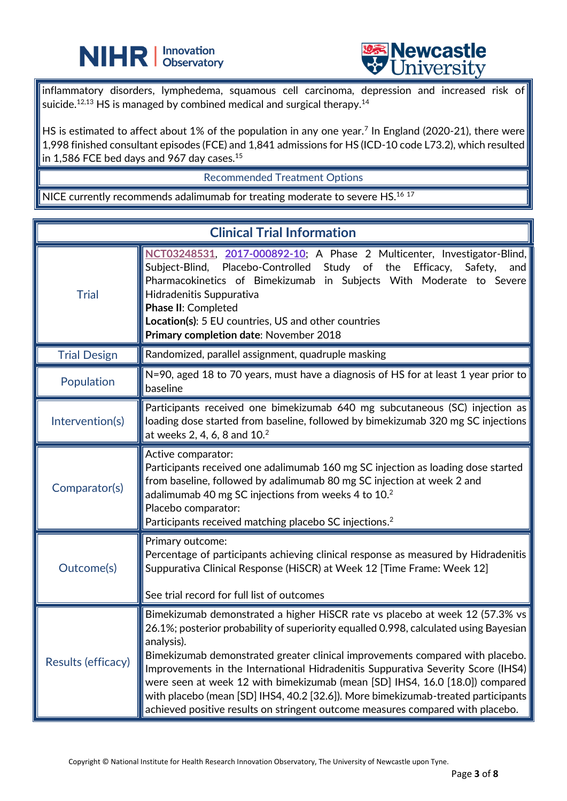



inflammatory disorders, lymphedema, squamous cell carcinoma, depression and increased risk of suicide. $^{12,13}$  HS is managed by combined medical and surgical therapy. $^{14}$ 

HS is estimated to affect about 1% of the population in any one year.<sup>7</sup> In England (2020-21), there were 1,998 finished consultant episodes (FCE) and 1,841 admissions for HS (ICD-10 code L73.2), which resulted in 1,586 FCE bed days and 967 day cases. $^{15}$ 

#### Recommended Treatment Options

NICE currently recommends adalimumab for treating moderate to severe HS.<sup>16 17</sup>

֦

| <b>Clinical Trial Information</b> |                                                                                                                                                                                                                                                                                                                                                                                                                                                                                                                                                                                                                 |  |
|-----------------------------------|-----------------------------------------------------------------------------------------------------------------------------------------------------------------------------------------------------------------------------------------------------------------------------------------------------------------------------------------------------------------------------------------------------------------------------------------------------------------------------------------------------------------------------------------------------------------------------------------------------------------|--|
| <b>Trial</b>                      | NCT03248531, 2017-000892-10; A Phase 2 Multicenter, Investigator-Blind,<br>Study of the<br>Subject-Blind,<br>Placebo-Controlled<br>Efficacy,<br>Safety,<br>and<br>Pharmacokinetics of Bimekizumab in Subjects With Moderate to Severe<br>Hidradenitis Suppurativa<br>Phase II: Completed<br>Location(s): 5 EU countries, US and other countries<br>Primary completion date: November 2018                                                                                                                                                                                                                       |  |
| <b>Trial Design</b>               | Randomized, parallel assignment, quadruple masking                                                                                                                                                                                                                                                                                                                                                                                                                                                                                                                                                              |  |
| Population                        | N=90, aged 18 to 70 years, must have a diagnosis of HS for at least 1 year prior to<br>baseline                                                                                                                                                                                                                                                                                                                                                                                                                                                                                                                 |  |
| Intervention(s)                   | Participants received one bimekizumab 640 mg subcutaneous (SC) injection as<br>loading dose started from baseline, followed by bimekizumab 320 mg SC injections<br>at weeks 2, 4, 6, 8 and 10. <sup>2</sup>                                                                                                                                                                                                                                                                                                                                                                                                     |  |
| Comparator(s)                     | Active comparator:<br>Participants received one adalimumab 160 mg SC injection as loading dose started<br>from baseline, followed by adalimumab 80 mg SC injection at week 2 and<br>adalimumab 40 mg SC injections from weeks 4 to $102$<br>Placebo comparator:<br>Participants received matching placebo SC injections. <sup>2</sup>                                                                                                                                                                                                                                                                           |  |
| Outcome(s)                        | Primary outcome:<br>Percentage of participants achieving clinical response as measured by Hidradenitis<br>Suppurativa Clinical Response (HiSCR) at Week 12 [Time Frame: Week 12]<br>See trial record for full list of outcomes                                                                                                                                                                                                                                                                                                                                                                                  |  |
| Results (efficacy)                | Bimekizumab demonstrated a higher HiSCR rate vs placebo at week 12 (57.3% vs<br>26.1%; posterior probability of superiority equalled 0.998, calculated using Bayesian<br>analysis).<br>Bimekizumab demonstrated greater clinical improvements compared with placebo.<br>Improvements in the International Hidradenitis Suppurativa Severity Score (IHS4)<br>were seen at week 12 with bimekizumab (mean [SD] IHS4, 16.0 [18.0]) compared<br>with placebo (mean [SD] IHS4, 40.2 [32.6]). More bimekizumab-treated participants<br>achieved positive results on stringent outcome measures compared with placebo. |  |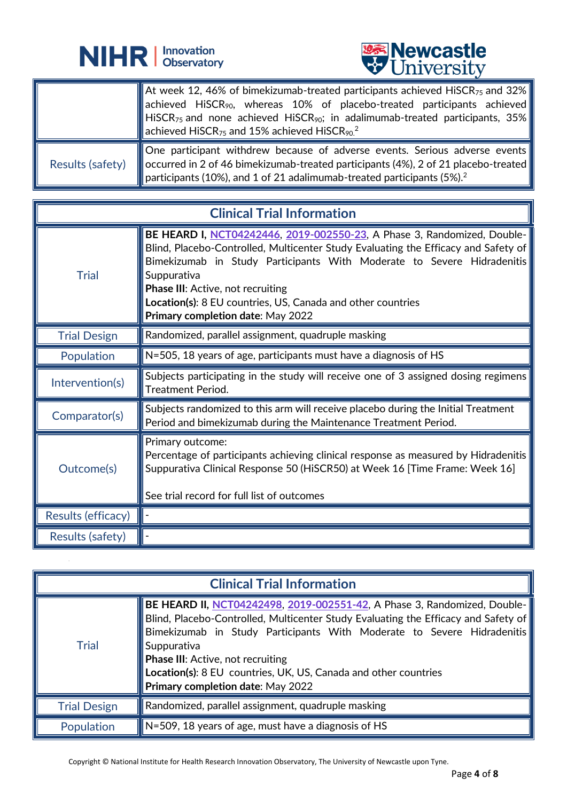



|                  | At week 12, 46% of bimekizumab-treated participants achieved HiSCR <sub>75</sub> and 32%<br>contractor achieved HiSCR <sub>90</sub> , whereas 10% of placebo-treated participants achieved<br>HISCR <sub>75</sub> and none achieved HISCR <sub>90</sub> ; in adalimumab-treated participants, 35%<br>$\blacksquare$ achieved HiSCR <sub>75</sub> and 15% achieved HiSCR <sub>90.</sub> <sup>2</sup> |
|------------------|-----------------------------------------------------------------------------------------------------------------------------------------------------------------------------------------------------------------------------------------------------------------------------------------------------------------------------------------------------------------------------------------------------|
| Results (safety) | One participant withdrew because of adverse events. Serious adverse events<br>■ occurred in 2 of 46 bimekizumab-treated participants (4%), 2 of 21 placebo-treated<br>$\blacksquare$ participants (10%), and 1 of 21 adalimumab-treated participants (5%). <sup>2</sup>                                                                                                                             |

֦

| <b>Clinical Trial Information</b> |                                                                                                                                                                                                                                                                                                                                                                                                 |
|-----------------------------------|-------------------------------------------------------------------------------------------------------------------------------------------------------------------------------------------------------------------------------------------------------------------------------------------------------------------------------------------------------------------------------------------------|
| <b>Trial</b>                      | BE HEARD I, NCT04242446, 2019-002550-23, A Phase 3, Randomized, Double-<br>Blind, Placebo-Controlled, Multicenter Study Evaluating the Efficacy and Safety of<br>Bimekizumab in Study Participants With Moderate to Severe Hidradenitis<br>Suppurativa<br>Phase III: Active, not recruiting<br>Location(s): 8 EU countries, US, Canada and other countries<br>Primary completion date: May 2022 |
| <b>Trial Design</b>               | Randomized, parallel assignment, quadruple masking                                                                                                                                                                                                                                                                                                                                              |
| Population                        | N=505, 18 years of age, participants must have a diagnosis of HS                                                                                                                                                                                                                                                                                                                                |
| Intervention(s)                   | Subjects participating in the study will receive one of 3 assigned dosing regimens<br>Treatment Period.                                                                                                                                                                                                                                                                                         |
| Comparator(s)                     | Subjects randomized to this arm will receive placebo during the Initial Treatment<br>Period and bimekizumab during the Maintenance Treatment Period.                                                                                                                                                                                                                                            |
| Outcome(s)                        | Primary outcome:<br>Percentage of participants achieving clinical response as measured by Hidradenitis<br>Suppurativa Clinical Response 50 (HiSCR50) at Week 16 [Time Frame: Week 16]<br>See trial record for full list of outcomes                                                                                                                                                             |
| Results (efficacy)                |                                                                                                                                                                                                                                                                                                                                                                                                 |
| Results (safety)                  |                                                                                                                                                                                                                                                                                                                                                                                                 |

| <b>Clinical Trial Information</b> |                                                                                                                                                                                                                                                                                                                                                                                                       |
|-----------------------------------|-------------------------------------------------------------------------------------------------------------------------------------------------------------------------------------------------------------------------------------------------------------------------------------------------------------------------------------------------------------------------------------------------------|
| <b>Trial</b>                      | BE HEARD II, NCT04242498, 2019-002551-42, A Phase 3, Randomized, Double- <br>Blind, Placebo-Controlled, Multicenter Study Evaluating the Efficacy and Safety of<br>Bimekizumab in Study Participants With Moderate to Severe Hidradenitis<br>Suppurativa<br>Phase III: Active, not recruiting<br>Location(s): 8 EU countries, UK, US, Canada and other countries<br>Primary completion date: May 2022 |
| <b>Trial Design</b>               | $\parallel$ Randomized, parallel assignment, quadruple masking                                                                                                                                                                                                                                                                                                                                        |
| Population                        | $\parallel$ N=509, 18 years of age, must have a diagnosis of HS                                                                                                                                                                                                                                                                                                                                       |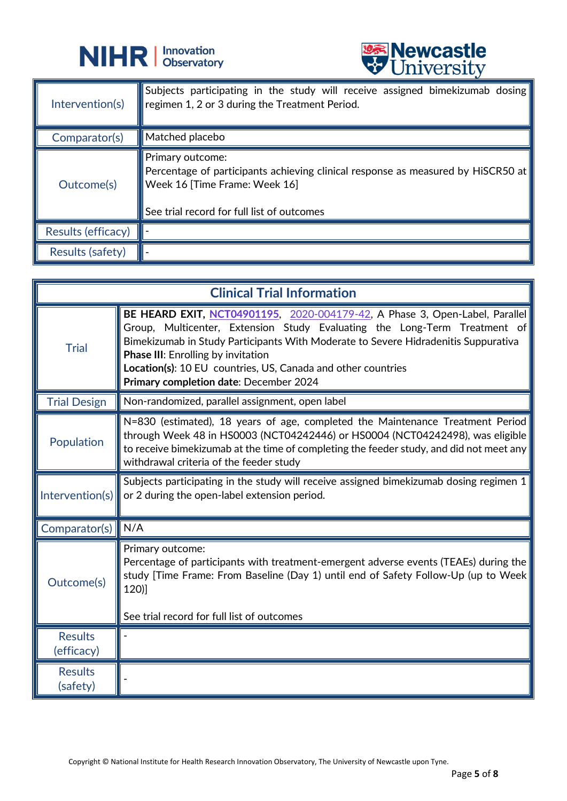



|                         | A CITTACTOIA                                                                                                                                                                        |
|-------------------------|-------------------------------------------------------------------------------------------------------------------------------------------------------------------------------------|
| Intervention(s)         | Subjects participating in the study will receive assigned bimekizumab dosing<br>regimen 1, 2 or 3 during the Treatment Period.                                                      |
| Comparator(s)           | Matched placebo                                                                                                                                                                     |
| Outcome(s)              | Primary outcome:<br>Percentage of participants achieving clinical response as measured by HiSCR50 at<br>Week 16 [Time Frame: Week 16]<br>See trial record for full list of outcomes |
| Results (efficacy)      |                                                                                                                                                                                     |
| <b>Results (safety)</b> |                                                                                                                                                                                     |

| <b>Clinical Trial Information</b> |                                                                                                                                                                                                                                                                                                                                                                                                |
|-----------------------------------|------------------------------------------------------------------------------------------------------------------------------------------------------------------------------------------------------------------------------------------------------------------------------------------------------------------------------------------------------------------------------------------------|
| <b>Trial</b>                      | BE HEARD EXIT, NCT04901195, 2020-004179-42, A Phase 3, Open-Label, Parallel<br>Group, Multicenter, Extension Study Evaluating the Long-Term Treatment of<br>Bimekizumab in Study Participants With Moderate to Severe Hidradenitis Suppurativa<br>Phase III: Enrolling by invitation<br>Location(s): 10 EU countries, US, Canada and other countries<br>Primary completion date: December 2024 |
| <b>Trial Design</b>               | Non-randomized, parallel assignment, open label                                                                                                                                                                                                                                                                                                                                                |
| Population                        | N=830 (estimated), 18 years of age, completed the Maintenance Treatment Period<br>through Week 48 in HS0003 (NCT04242446) or HS0004 (NCT04242498), was eligible<br>to receive bimekizumab at the time of completing the feeder study, and did not meet any<br>withdrawal criteria of the feeder study                                                                                          |
| Intervention(s)                   | Subjects participating in the study will receive assigned bimekizumab dosing regimen 1<br>or 2 during the open-label extension period.                                                                                                                                                                                                                                                         |
| Comparator(s)                     | N/A                                                                                                                                                                                                                                                                                                                                                                                            |
| Outcome(s)                        | Primary outcome:<br>Percentage of participants with treatment-emergent adverse events (TEAEs) during the<br>study [Time Frame: From Baseline (Day 1) until end of Safety Follow-Up (up to Week<br>120)]<br>See trial record for full list of outcomes                                                                                                                                          |
| <b>Results</b><br>(efficacy)      |                                                                                                                                                                                                                                                                                                                                                                                                |
| <b>Results</b><br>(safety)        |                                                                                                                                                                                                                                                                                                                                                                                                |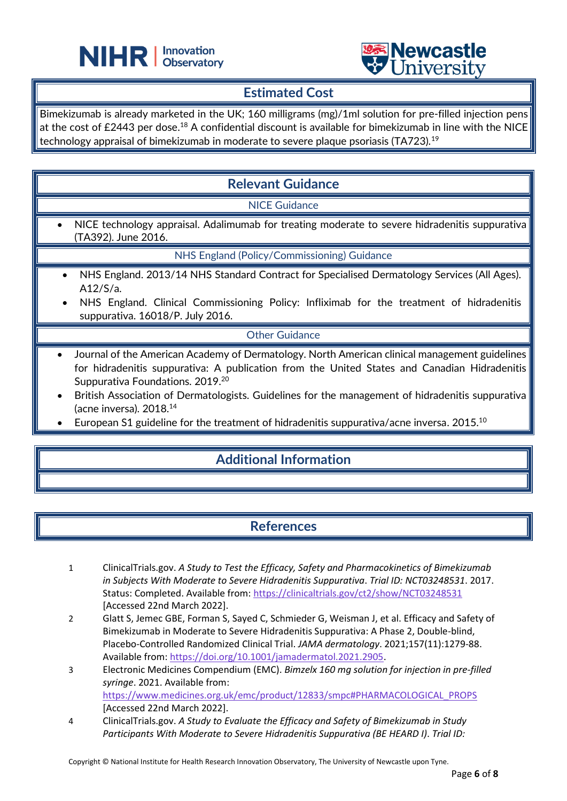



## **Estimated Cost**

L

Bimekizumab is already marketed in the UK; 160 milligrams (mg)/1ml solution for pre-filled injection pens at the cost of £2443 per dose. $^\mathrm{18}$  A confidential discount is available for bimekizumab in line with the NICE technology appraisal of bimekizumab in moderate to severe plaque psoriasis (TA723).<sup>19</sup>

## **Relevant Guidance**

NICE Guidance

• NICE technology appraisal. Adalimumab for treating moderate to severe hidradenitis suppurativa (TA392). June 2016.

NHS England (Policy/Commissioning) Guidance

- NHS England. 2013/14 NHS Standard Contract for Specialised Dermatology Services (All Ages). A12/S/a.
- NHS England. Clinical Commissioning Policy: Infliximab for the treatment of hidradenitis suppurativa. 16018/P. July 2016.

#### Other Guidance

- Journal of the American Academy of Dermatology. North American clinical management guidelines for hidradenitis suppurativa: A publication from the United States and Canadian Hidradenitis Suppurativa Foundations. 2019.<sup>20</sup>
- British Association of Dermatologists. Guidelines for the management of hidradenitis suppurativa (acne inversa). 2018.<sup>14</sup>
- European S1 guideline for the treatment of hidradenitis suppurativa/acne inversa. 2015.<sup>10</sup>

## **Additional Information**

## **References**

- 1 ClinicalTrials.gov. *A Study to Test the Efficacy, Safety and Pharmacokinetics of Bimekizumab in Subjects With Moderate to Severe Hidradenitis Suppurativa*. *Trial ID: NCT03248531*. 2017. Status: Completed. Available from:<https://clinicaltrials.gov/ct2/show/NCT03248531> [Accessed 22nd March 2022].
- 2 Glatt S, Jemec GBE, Forman S, Sayed C, Schmieder G, Weisman J, et al. Efficacy and Safety of Bimekizumab in Moderate to Severe Hidradenitis Suppurativa: A Phase 2, Double-blind, Placebo-Controlled Randomized Clinical Trial. *JAMA dermatology*. 2021;157(11):1279-88. Available from[: https://doi.org/10.1001/jamadermatol.2021.2905.](https://doi.org/10.1001/jamadermatol.2021.2905)
- 3 Electronic Medicines Compendium (EMC). *Bimzelx 160 mg solution for injection in pre-filled syringe*. 2021. Available from: [https://www.medicines.org.uk/emc/product/12833/smpc#PHARMACOLOGICAL\\_PROPS](https://www.medicines.org.uk/emc/product/12833/smpc#PHARMACOLOGICAL_PROPS) [Accessed 22nd March 2022].
- 4 ClinicalTrials.gov. *A Study to Evaluate the Efficacy and Safety of Bimekizumab in Study Participants With Moderate to Severe Hidradenitis Suppurativa (BE HEARD I)*. *Trial ID:*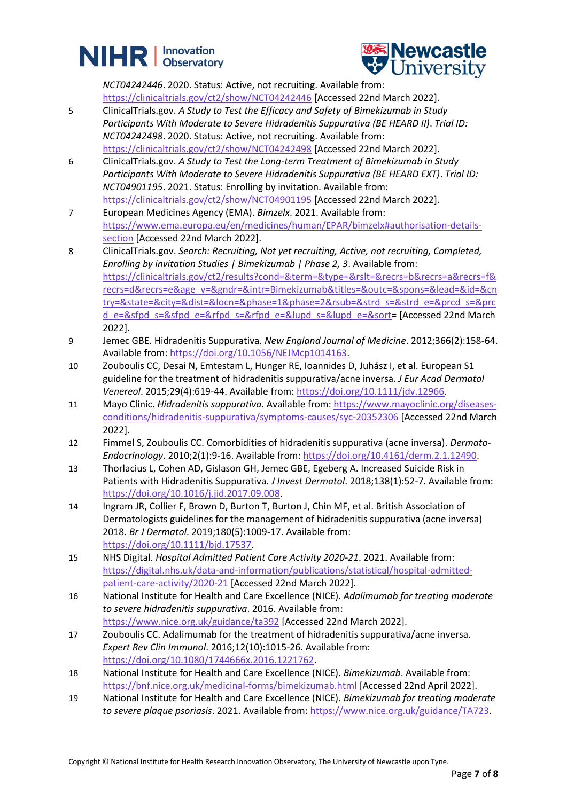# **NIHR** | Innovation



*NCT04242446*. 2020. Status: Active, not recruiting. Available from:

<https://clinicaltrials.gov/ct2/show/NCT04242446> [Accessed 22nd March 2022].

- 5 ClinicalTrials.gov. *A Study to Test the Efficacy and Safety of Bimekizumab in Study Participants With Moderate to Severe Hidradenitis Suppurativa (BE HEARD II)*. *Trial ID: NCT04242498*. 2020. Status: Active, not recruiting. Available from: <https://clinicaltrials.gov/ct2/show/NCT04242498> [Accessed 22nd March 2022].
- 6 ClinicalTrials.gov. *A Study to Test the Long-term Treatment of Bimekizumab in Study Participants With Moderate to Severe Hidradenitis Suppurativa (BE HEARD EXT)*. *Trial ID: NCT04901195*. 2021. Status: Enrolling by invitation. Available from: <https://clinicaltrials.gov/ct2/show/NCT04901195> [Accessed 22nd March 2022].
- 7 European Medicines Agency (EMA). *Bimzelx*. 2021. Available from: [https://www.ema.europa.eu/en/medicines/human/EPAR/bimzelx#authorisation-details](https://www.ema.europa.eu/en/medicines/human/EPAR/bimzelx#authorisation-details-section)[section](https://www.ema.europa.eu/en/medicines/human/EPAR/bimzelx#authorisation-details-section) [Accessed 22nd March 2022].
- 8 ClinicalTrials.gov. *Search: Recruiting, Not yet recruiting, Active, not recruiting, Completed, Enrolling by invitation Studies | Bimekizumab | Phase 2, 3*. Available from: [https://clinicaltrials.gov/ct2/results?cond=&term=&type=&rslt=&recrs=b&recrs=a&recrs=f&](https://clinicaltrials.gov/ct2/results?cond=&term=&type=&rslt=&recrs=b&recrs=a&recrs=f&recrs=d&recrs=e&age_v=&gndr=&intr=Bimekizumab&titles=&outc=&spons=&lead=&id=&cntry=&state=&city=&dist=&locn=&phase=1&phase=2&rsub=&strd_s=&strd_e=&prcd_s=&prcd_e=&sfpd_s=&sfpd_e=&rfpd_s=&rfpd_e=&lupd_s=&lupd_e=&sort) [recrs=d&recrs=e&age\\_v=&gndr=&intr=Bimekizumab&titles=&outc=&spons=&lead=&id=&cn](https://clinicaltrials.gov/ct2/results?cond=&term=&type=&rslt=&recrs=b&recrs=a&recrs=f&recrs=d&recrs=e&age_v=&gndr=&intr=Bimekizumab&titles=&outc=&spons=&lead=&id=&cntry=&state=&city=&dist=&locn=&phase=1&phase=2&rsub=&strd_s=&strd_e=&prcd_s=&prcd_e=&sfpd_s=&sfpd_e=&rfpd_s=&rfpd_e=&lupd_s=&lupd_e=&sort) [try=&state=&city=&dist=&locn=&phase=1&phase=2&rsub=&strd\\_s=&strd\\_e=&prcd\\_s=&prc](https://clinicaltrials.gov/ct2/results?cond=&term=&type=&rslt=&recrs=b&recrs=a&recrs=f&recrs=d&recrs=e&age_v=&gndr=&intr=Bimekizumab&titles=&outc=&spons=&lead=&id=&cntry=&state=&city=&dist=&locn=&phase=1&phase=2&rsub=&strd_s=&strd_e=&prcd_s=&prcd_e=&sfpd_s=&sfpd_e=&rfpd_s=&rfpd_e=&lupd_s=&lupd_e=&sort) [d\\_e=&sfpd\\_s=&sfpd\\_e=&rfpd\\_s=&rfpd\\_e=&lupd\\_s=&lupd\\_e=&sort=](https://clinicaltrials.gov/ct2/results?cond=&term=&type=&rslt=&recrs=b&recrs=a&recrs=f&recrs=d&recrs=e&age_v=&gndr=&intr=Bimekizumab&titles=&outc=&spons=&lead=&id=&cntry=&state=&city=&dist=&locn=&phase=1&phase=2&rsub=&strd_s=&strd_e=&prcd_s=&prcd_e=&sfpd_s=&sfpd_e=&rfpd_s=&rfpd_e=&lupd_s=&lupd_e=&sort) [Accessed 22nd March 2022].
- 9 Jemec GBE. Hidradenitis Suppurativa. *New England Journal of Medicine*. 2012;366(2):158-64. Available from[: https://doi.org/10.1056/NEJMcp1014163.](https://doi.org/10.1056/NEJMcp1014163)
- 10 Zouboulis CC, Desai N, Emtestam L, Hunger RE, Ioannides D, Juhász I, et al. European S1 guideline for the treatment of hidradenitis suppurativa/acne inversa. *J Eur Acad Dermatol Venereol*. 2015;29(4):619-44. Available from: [https://doi.org/10.1111/jdv.12966.](https://doi.org/10.1111/jdv.12966)
- 11 Mayo Clinic. *Hidradenitis suppurativa*. Available from[: https://www.mayoclinic.org/diseases](https://www.mayoclinic.org/diseases-conditions/hidradenitis-suppurativa/symptoms-causes/syc-20352306)[conditions/hidradenitis-suppurativa/symptoms-causes/syc-20352306](https://www.mayoclinic.org/diseases-conditions/hidradenitis-suppurativa/symptoms-causes/syc-20352306) [Accessed 22nd March 2022].
- 12 Fimmel S, Zouboulis CC. Comorbidities of hidradenitis suppurativa (acne inversa). *Dermato-Endocrinology*. 2010;2(1):9-16. Available from: [https://doi.org/10.4161/derm.2.1.12490.](https://doi.org/10.4161/derm.2.1.12490)
- 13 Thorlacius L, Cohen AD, Gislason GH, Jemec GBE, Egeberg A. Increased Suicide Risk in Patients with Hidradenitis Suppurativa. *J Invest Dermatol*. 2018;138(1):52-7. Available from: [https://doi.org/10.1016/j.jid.2017.09.008.](https://doi.org/10.1016/j.jid.2017.09.008)
- 14 Ingram JR, Collier F, Brown D, Burton T, Burton J, Chin MF, et al. British Association of Dermatologists guidelines for the management of hidradenitis suppurativa (acne inversa) 2018. *Br J Dermatol*. 2019;180(5):1009-17. Available from: [https://doi.org/10.1111/bjd.17537.](https://doi.org/10.1111/bjd.17537)
- 15 NHS Digital. *Hospital Admitted Patient Care Activity 2020-21*. 2021. Available from: [https://digital.nhs.uk/data-and-information/publications/statistical/hospital-admitted](https://digital.nhs.uk/data-and-information/publications/statistical/hospital-admitted-patient-care-activity/2020-21)[patient-care-activity/2020-21](https://digital.nhs.uk/data-and-information/publications/statistical/hospital-admitted-patient-care-activity/2020-21) [Accessed 22nd March 2022].
- 16 National Institute for Health and Care Excellence (NICE). *Adalimumab for treating moderate to severe hidradenitis suppurativa*. 2016. Available from: <https://www.nice.org.uk/guidance/ta392> [Accessed 22nd March 2022].
- 17 Zouboulis CC. Adalimumab for the treatment of hidradenitis suppurativa/acne inversa. *Expert Rev Clin Immunol*. 2016;12(10):1015-26. Available from: [https://doi.org/10.1080/1744666x.2016.1221762.](https://doi.org/10.1080/1744666x.2016.1221762)
- 18 National Institute for Health and Care Excellence (NICE). *Bimekizumab*. Available from: <https://bnf.nice.org.uk/medicinal-forms/bimekizumab.html> [Accessed 22nd April 2022].
- 19 National Institute for Health and Care Excellence (NICE). *Bimekizumab for treating moderate to severe plaque psoriasis*. 2021. Available from[: https://www.nice.org.uk/guidance/TA723.](https://www.nice.org.uk/guidance/TA723)